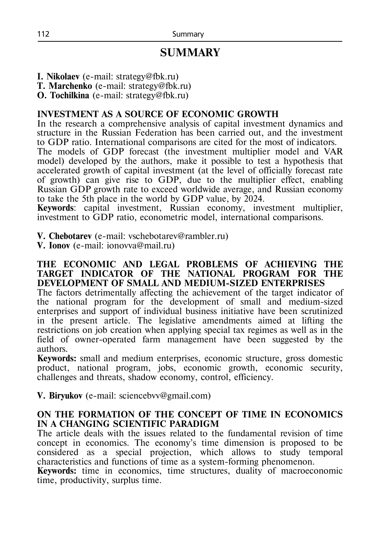# **SUMMARY**

**I. Nikolaev** (e-mail: strategy@fbk.ru)

**T. Marchenko** (e-mail: strategy@fbk.ru)

**O. Tochilkina** (e-mail: strategy@fbk.ru)

## **INVESTMENT AS A SOURCE OF ECONOMIC GROWTH**

In the research a comprehensive analysis of capital investment dynamics and structure in the Russian Federation has been carried out, and the investment to GDP ratio. International comparisons are cited for the most of indicators.

The models of GDP forecast (the investment multiplier model and VAR model) developed by the authors, make it possible to test a hypothesis that accelerated growth of capital investment (at the level of officially forecast rate of growth) can give rise to GDP, due to the multiplier effect, enabling Russian GDP growth rate to exceed worldwide average, and Russian economy to take the 5th place in the world by GDP value, by 2024.

**Keywords**: capital investment, Russian economy, investment multiplier, investment to GDP ratio, econometric model, international comparisons.

**V. Chebotarev** (e-mail: vschebotarev@rambler.ru)

**V. Ionov** (е-mail: ionovva@mail.ru)

#### **THE ECONOMIC AND LEGAL PROBLEMS OF ACHIEVING THE TARGET INDICATOR OF THE NATIONAL PROGRAM FOR THE DEVELOPMENT OF SMALL AND MEDIUM-SIZED ENTERPRISES**

The factors detrimentally affecting the achievement of the target indicator of the national program for the development of small and medium-sized enterprises and support of individual business initiative have been scrutinized in the present article. The legislative amendments aimed at lifting the restrictions on job creation when applying special tax regimes as well as in the field of owner-operated farm management have been suggested by the authors.

**Keywords:** small and medium enterprises, economic structure, gross domestic product, national program, jobs, economic growth, economic security, challenges and threats, shadow economy, control, efficiency.

**V. Biryukov** (e-mail: sciencebvv@gmail.com)

## **ON THE FORMATION OF THE CONCEPT OF TIME IN ECONOMICS IN A CHANGING SCIENTIFIC PARADIGM**

The article deals with the issues related to the fundamental revision of time concept in economics. The economy's time dimension is proposed to be considered as a special projection, which allows to study temporal characteristics and functions of time as a system-forming phenomenon.

**Keywords:** time in economics, time structures, duality of macroeconomic time, productivity, surplus time.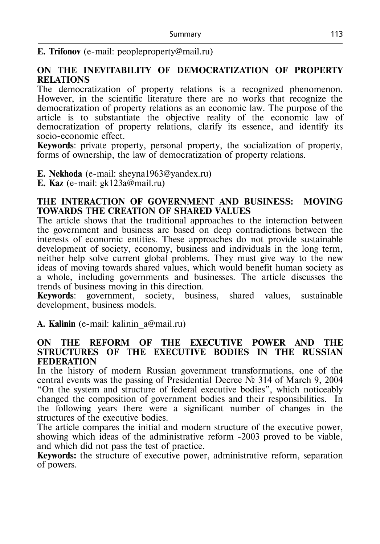## **E. Trifonov** (e-mail: peopleproperty@mail.ru)

## **ON THE INEVITABILITY OF DEMOCRATIZATION OF PROPERTY RELATIONS**

The democratization of property relations is a recognized phenomenon. However, in the scientific literature there are no works that recognize the democratization of property relations as an economic law. The purpose of the article is to substantiate the objective reality of the economic law of democratization of property relations, clarify its essence, and identify its socio-economic effect.

**Keywords**: private property, personal property, the socialization of property, forms of ownership, the law of democratization of property relations.

**Е. Nekhoda** (e-mail: sheyna1963@yandex.ru)

**Е. Kaz** (e-mail: gk123a@mail.ru)

#### **THE INTERACTION OF GOVERNMENT AND BUSINESS: MOVING TOWARDS THE CREATION OF SHARED VALUES**

The article shows that the traditional approaches to the interaction between the government and business are based on deep contradictions between the interests of economic entities. These approaches do not provide sustainable development of society, economy, business and individuals in the long term, neither help solve current global problems. They must give way to the new ideas of moving towards shared values, which would benefit human society as a whole, including governments and businesses. The article discusses the trends of business moving in this direction.

**Keywords**: government, society, business, shared values, sustainable development, business models.

**A. Kalinin** (e-mail: kalinin\_a@mail.ru)

#### **ON THE REFORM OF THE EXECUTIVE POWER AND THE STRUCTURES OF THE EXECUTIVE BODIES IN THE RUSSIAN FEDERATION**

In the history of modern Russian government transformations, one of the central events was the passing of Presidential Decree № 314 of March 9, 2004 "On the system and structure of federal executive bodies", which noticeably changed the composition of government bodies and their responsibilities. In the following years there were a significant number of changes in the structures of the executive bodies.

The article compares the initial and modern structure of the executive power, showing which ideas of the administrative reform -2003 proved to be viable, and which did not pass the test of practice.

**Keywords:** the structure of executive power, administrative reform, separation of powers.